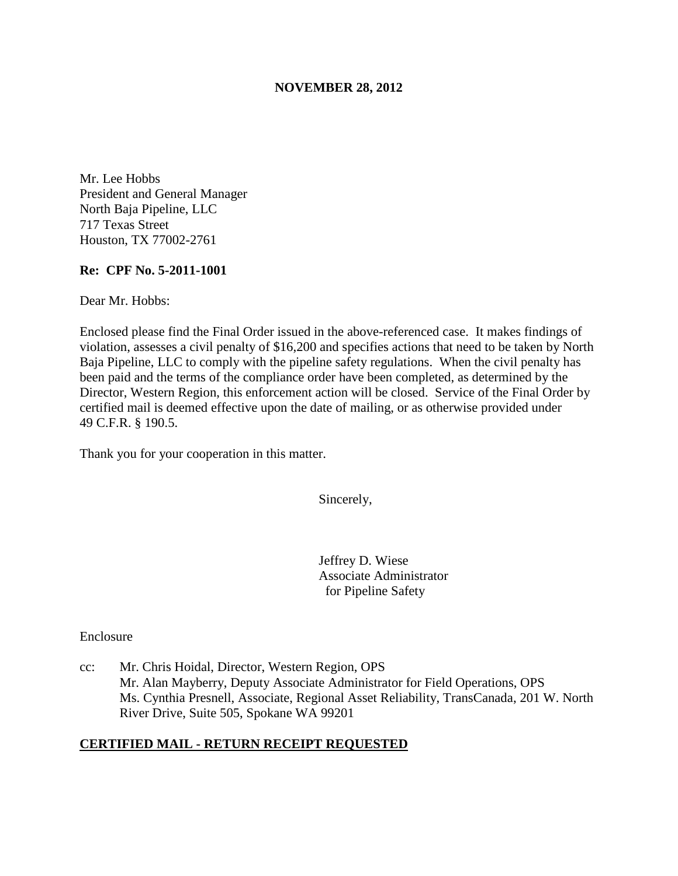## **NOVEMBER 28, 2012**

Mr. Lee Hobbs President and General Manager North Baja Pipeline, LLC 717 Texas Street Houston, TX 77002-2761

### **Re: CPF No. 5-2011-1001**

Dear Mr. Hobbs:

Enclosed please find the Final Order issued in the above-referenced case. It makes findings of violation, assesses a civil penalty of \$16,200 and specifies actions that need to be taken by North Baja Pipeline, LLC to comply with the pipeline safety regulations. When the civil penalty has been paid and the terms of the compliance order have been completed, as determined by the Director, Western Region, this enforcement action will be closed. Service of the Final Order by certified mail is deemed effective upon the date of mailing, or as otherwise provided under 49 C.F.R. § 190.5.

Thank you for your cooperation in this matter.

Sincerely,

Jeffrey D. Wiese Associate Administrator for Pipeline Safety

Enclosure

cc: Mr. Chris Hoidal, Director, Western Region, OPS Mr. Alan Mayberry, Deputy Associate Administrator for Field Operations, OPS Ms. Cynthia Presnell, Associate, Regional Asset Reliability, TransCanada, 201 W. North River Drive, Suite 505, Spokane WA 99201

## **CERTIFIED MAIL - RETURN RECEIPT REQUESTED**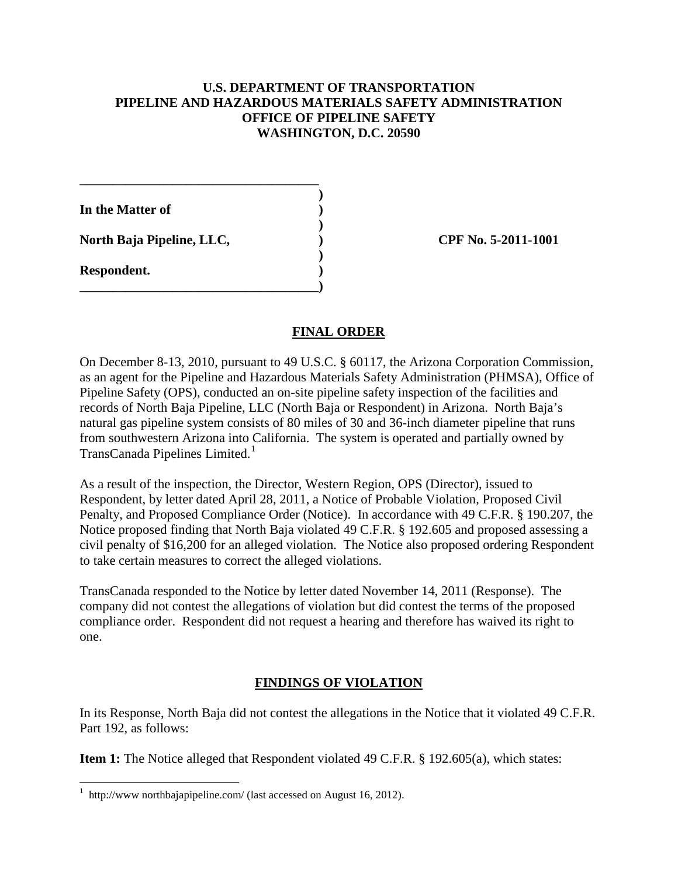## **U.S. DEPARTMENT OF TRANSPORTATION PIPELINE AND HAZARDOUS MATERIALS SAFETY ADMINISTRATION OFFICE OF PIPELINE SAFETY WASHINGTON, D.C. 20590**

**In the Matter of )** 

North Baja Pipeline, LLC,  $\qquad \qquad$  (PF No. 5-2011-1001)

**\_\_\_\_\_\_\_\_\_\_\_\_\_\_\_\_\_\_\_\_\_\_\_\_\_\_\_\_\_\_\_\_\_\_\_\_ )** 

 **)** 

 **)** 

**\_\_\_\_\_\_\_\_\_\_\_\_\_\_\_\_\_\_\_\_\_\_\_\_\_\_\_\_\_\_\_\_\_\_\_\_)** 

**Respondent. )** 

 $\overline{a}$ 

## **FINAL ORDER**

On December 8-13, 2010, pursuant to 49 U.S.C. § 60117, the Arizona Corporation Commission, as an agent for the Pipeline and Hazardous Materials Safety Administration (PHMSA), Office of Pipeline Safety (OPS), conducted an on-site pipeline safety inspection of the facilities and records of North Baja Pipeline, LLC (North Baja or Respondent) in Arizona. North Baja's natural gas pipeline system consists of 80 miles of 30 and 36-inch diameter pipeline that runs from southwestern Arizona into California. The system is operated and partially owned by TransCanada Pipelines Limited.<sup>1</sup>

As a result of the inspection, the Director, Western Region, OPS (Director), issued to Respondent, by letter dated April 28, 2011, a Notice of Probable Violation, Proposed Civil Penalty, and Proposed Compliance Order (Notice). In accordance with 49 C.F.R. § 190.207, the Notice proposed finding that North Baja violated 49 C.F.R. § 192.605 and proposed assessing a civil penalty of \$16,200 for an alleged violation. The Notice also proposed ordering Respondent to take certain measures to correct the alleged violations.

TransCanada responded to the Notice by letter dated November 14, 2011 (Response). The company did not contest the allegations of violation but did contest the terms of the proposed compliance order. Respondent did not request a hearing and therefore has waived its right to one.

## **FINDINGS OF VIOLATION**

In its Response, North Baja did not contest the allegations in the Notice that it violated 49 C.F.R. Part 192, as follows:

**Item 1:** The Notice alleged that Respondent violated 49 C.F.R. § 192.605(a), which states:

<sup>&</sup>lt;sup>1</sup> http://www northbajapipeline.com/ (last accessed on August 16, 2012).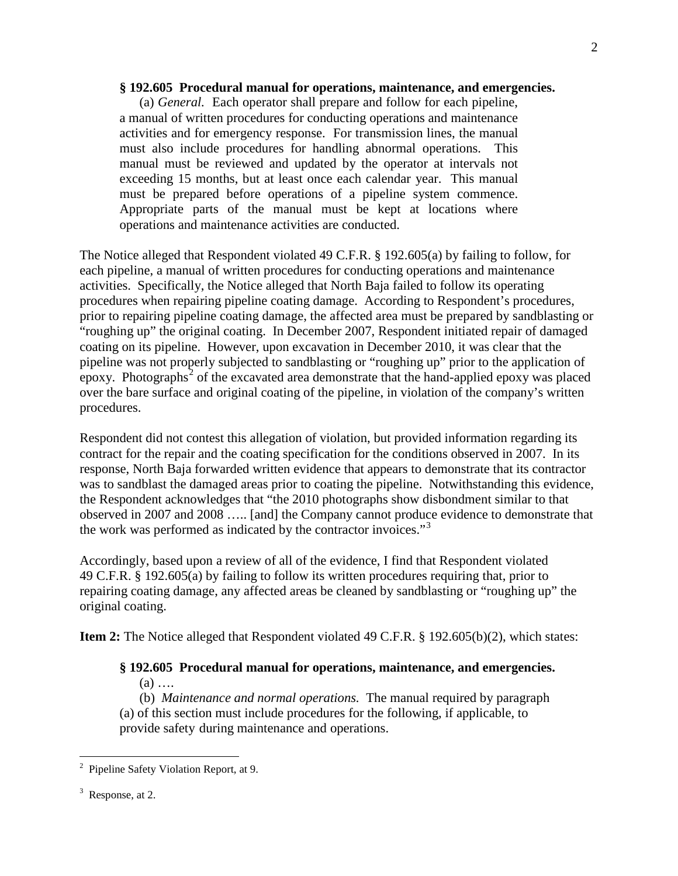### **§ 192.605 Procedural manual for operations, maintenance, and emergencies.**

(a) *General.* Each operator shall prepare and follow for each pipeline, a manual of written procedures for conducting operations and maintenance activities and for emergency response. For transmission lines, the manual must also include procedures for handling abnormal operations. This manual must be reviewed and updated by the operator at intervals not exceeding 15 months, but at least once each calendar year. This manual must be prepared before operations of a pipeline system commence. Appropriate parts of the manual must be kept at locations where operations and maintenance activities are conducted.

The Notice alleged that Respondent violated 49 C.F.R. § 192.605(a) by failing to follow, for each pipeline, a manual of written procedures for conducting operations and maintenance activities. Specifically, the Notice alleged that North Baja failed to follow its operating procedures when repairing pipeline coating damage. According to Respondent's procedures, prior to repairing pipeline coating damage, the affected area must be prepared by sandblasting or "roughing up" the original coating. In December 2007, Respondent initiated repair of damaged coating on its pipeline. However, upon excavation in December 2010, it was clear that the pipeline was not properly subjected to sandblasting or "roughing up" prior to the application of epoxy. Photographs<sup>2</sup> of the excavated area demonstrate that the hand-applied epoxy was placed over the bare surface and original coating of the pipeline, in violation of the company's written procedures.

Respondent did not contest this allegation of violation, but provided information regarding its contract for the repair and the coating specification for the conditions observed in 2007. In its response, North Baja forwarded written evidence that appears to demonstrate that its contractor was to sandblast the damaged areas prior to coating the pipeline. Notwithstanding this evidence, the Respondent acknowledges that "the 2010 photographs show disbondment similar to that observed in 2007 and 2008 ….. [and] the Company cannot produce evidence to demonstrate that the work was performed as indicated by the contractor invoices."<sup>3</sup>

Accordingly, based upon a review of all of the evidence, I find that Respondent violated 49 C.F.R. § 192.605(a) by failing to follow its written procedures requiring that, prior to repairing coating damage, any affected areas be cleaned by sandblasting or "roughing up" the original coating.

**Item 2:** The Notice alleged that Respondent violated 49 C.F.R. § 192.605(b)(2), which states:

# **§ 192.605 Procedural manual for operations, maintenance, and emergencies.**

 $(a)$  ...

 (b) *Maintenance and normal operations.* The manual required by paragraph (a) of this section must include procedures for the following, if applicable, to provide safety during maintenance and operations.

 $\overline{a}$ 

<sup>2</sup> Pipeline Safety Violation Report, at 9.

 $3$  Response, at 2.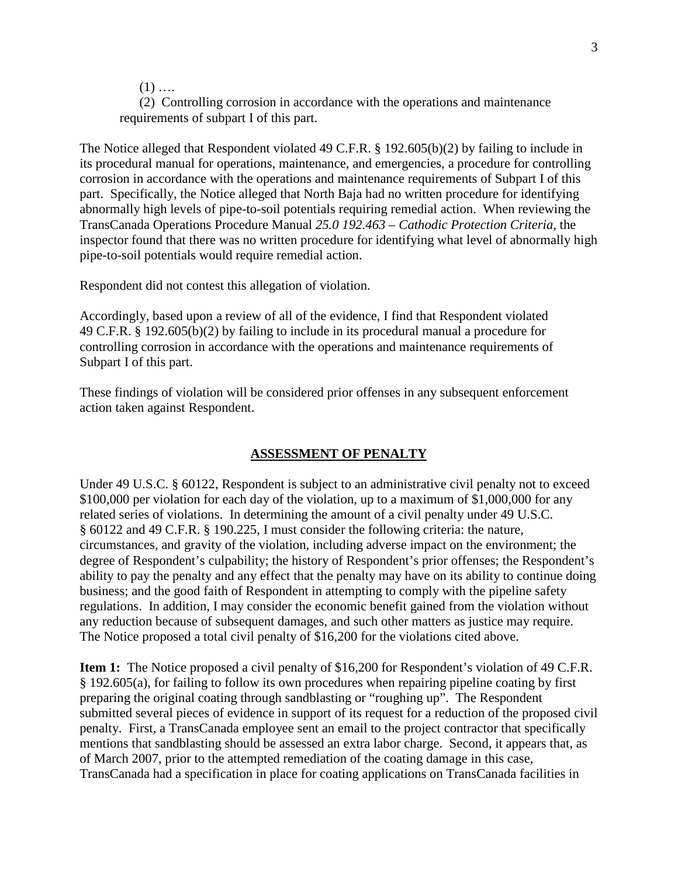$(1)$  …

 (2) Controlling corrosion in accordance with the operations and maintenance requirements of subpart I of this part.

The Notice alleged that Respondent violated 49 C.F.R. § 192.605(b)(2) by failing to include in its procedural manual for operations, maintenance, and emergencies, a procedure for controlling corrosion in accordance with the operations and maintenance requirements of Subpart I of this part. Specifically, the Notice alleged that North Baja had no written procedure for identifying abnormally high levels of pipe-to-soil potentials requiring remedial action. When reviewing the TransCanada Operations Procedure Manual *25.0 192.463 – Cathodic Protection Criteria*, the inspector found that there was no written procedure for identifying what level of abnormally high pipe-to-soil potentials would require remedial action.

Respondent did not contest this allegation of violation.

Accordingly, based upon a review of all of the evidence, I find that Respondent violated 49 C.F.R. § 192.605(b)(2) by failing to include in its procedural manual a procedure for controlling corrosion in accordance with the operations and maintenance requirements of Subpart I of this part.

These findings of violation will be considered prior offenses in any subsequent enforcement action taken against Respondent.

### **ASSESSMENT OF PENALTY**

Under 49 U.S.C. § 60122, Respondent is subject to an administrative civil penalty not to exceed \$100,000 per violation for each day of the violation, up to a maximum of \$1,000,000 for any related series of violations. In determining the amount of a civil penalty under 49 U.S.C. § 60122 and 49 C.F.R. § 190.225, I must consider the following criteria: the nature, circumstances, and gravity of the violation, including adverse impact on the environment; the degree of Respondent's culpability; the history of Respondent's prior offenses; the Respondent's ability to pay the penalty and any effect that the penalty may have on its ability to continue doing business; and the good faith of Respondent in attempting to comply with the pipeline safety regulations. In addition, I may consider the economic benefit gained from the violation without any reduction because of subsequent damages, and such other matters as justice may require. The Notice proposed a total civil penalty of \$16,200 for the violations cited above.

**Item 1:** The Notice proposed a civil penalty of \$16,200 for Respondent's violation of 49 C.F.R. § 192.605(a), for failing to follow its own procedures when repairing pipeline coating by first preparing the original coating through sandblasting or "roughing up". The Respondent submitted several pieces of evidence in support of its request for a reduction of the proposed civil penalty. First, a TransCanada employee sent an email to the project contractor that specifically mentions that sandblasting should be assessed an extra labor charge. Second, it appears that, as of March 2007, prior to the attempted remediation of the coating damage in this case, TransCanada had a specification in place for coating applications on TransCanada facilities in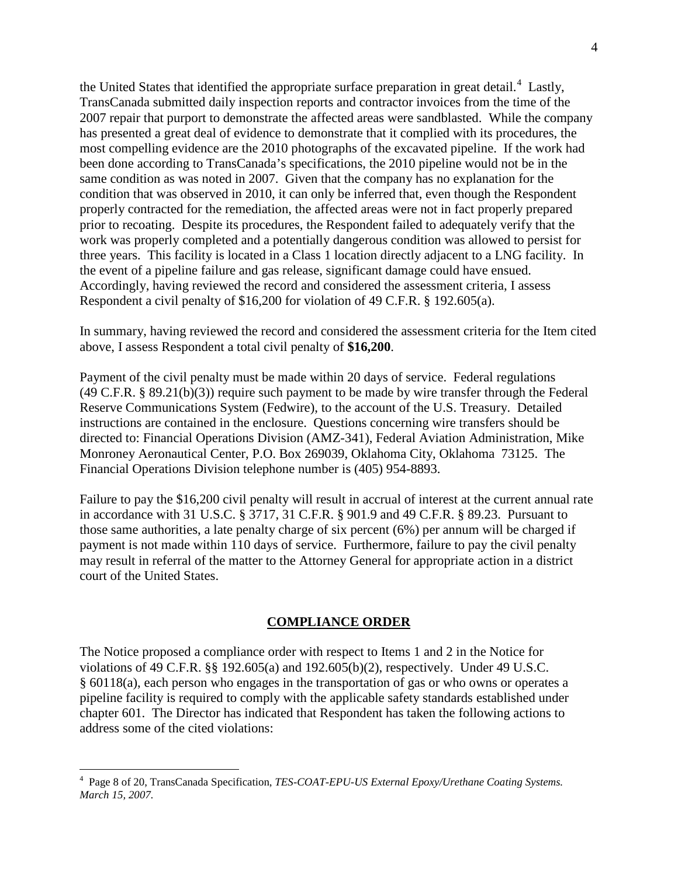the United States that identified the appropriate surface preparation in great detail.<sup>4</sup> Lastly, TransCanada submitted daily inspection reports and contractor invoices from the time of the 2007 repair that purport to demonstrate the affected areas were sandblasted. While the company has presented a great deal of evidence to demonstrate that it complied with its procedures, the most compelling evidence are the 2010 photographs of the excavated pipeline. If the work had been done according to TransCanada's specifications, the 2010 pipeline would not be in the same condition as was noted in 2007. Given that the company has no explanation for the condition that was observed in 2010, it can only be inferred that, even though the Respondent properly contracted for the remediation, the affected areas were not in fact properly prepared prior to recoating. Despite its procedures, the Respondent failed to adequately verify that the work was properly completed and a potentially dangerous condition was allowed to persist for three years. This facility is located in a Class 1 location directly adjacent to a LNG facility. In the event of a pipeline failure and gas release, significant damage could have ensued. Accordingly, having reviewed the record and considered the assessment criteria, I assess Respondent a civil penalty of \$16,200 for violation of 49 C.F.R. § 192.605(a).

In summary, having reviewed the record and considered the assessment criteria for the Item cited above, I assess Respondent a total civil penalty of **\$16,200**.

Payment of the civil penalty must be made within 20 days of service. Federal regulations (49 C.F.R. § 89.21(b)(3)) require such payment to be made by wire transfer through the Federal Reserve Communications System (Fedwire), to the account of the U.S. Treasury. Detailed instructions are contained in the enclosure. Questions concerning wire transfers should be directed to: Financial Operations Division (AMZ-341), Federal Aviation Administration, Mike Monroney Aeronautical Center, P.O. Box 269039, Oklahoma City, Oklahoma 73125. The Financial Operations Division telephone number is (405) 954-8893.

Failure to pay the \$16,200 civil penalty will result in accrual of interest at the current annual rate in accordance with 31 U.S.C. § 3717, 31 C.F.R. § 901.9 and 49 C.F.R. § 89.23. Pursuant to those same authorities, a late penalty charge of six percent (6%) per annum will be charged if payment is not made within 110 days of service. Furthermore, failure to pay the civil penalty may result in referral of the matter to the Attorney General for appropriate action in a district court of the United States.

### **COMPLIANCE ORDER**

The Notice proposed a compliance order with respect to Items 1 and 2 in the Notice for violations of 49 C.F.R. §§ 192.605(a) and 192.605(b)(2), respectively. Under 49 U.S.C. § 60118(a), each person who engages in the transportation of gas or who owns or operates a pipeline facility is required to comply with the applicable safety standards established under chapter 601. The Director has indicated that Respondent has taken the following actions to address some of the cited violations:

 $\overline{a}$ 

<sup>4</sup> Page 8 of 20, TransCanada Specification, *TES-COAT-EPU-US External Epoxy/Urethane Coating Systems. March 15, 2007.*